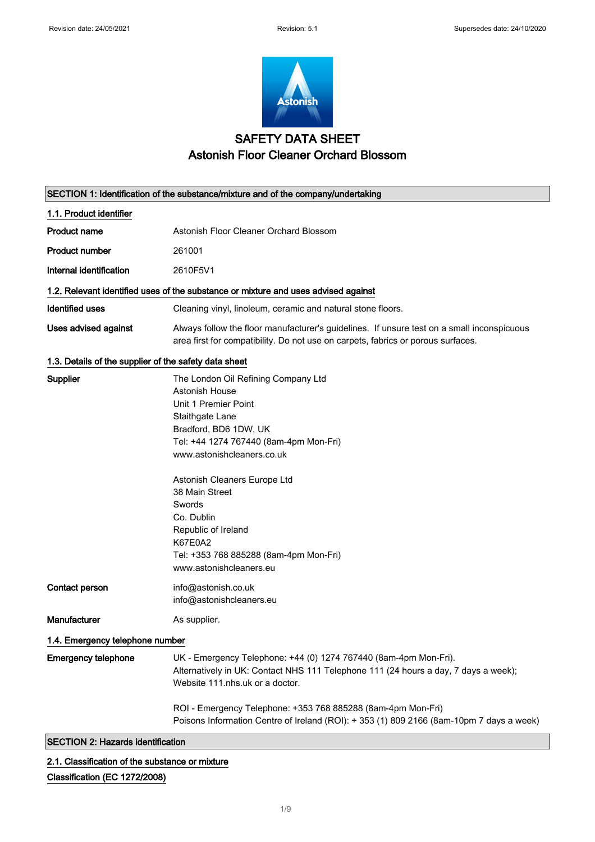$\overline{\phantom{a}}$ 



# SAFETY DATA SHEET Astonish Floor Cleaner Orchard Blossom

| SECTION 1: Identification of the substance/mixture and of the company/undertaking |                                                                                                                                                                                                                                                                                                                                                                                    |
|-----------------------------------------------------------------------------------|------------------------------------------------------------------------------------------------------------------------------------------------------------------------------------------------------------------------------------------------------------------------------------------------------------------------------------------------------------------------------------|
| 1.1. Product identifier                                                           |                                                                                                                                                                                                                                                                                                                                                                                    |
| <b>Product name</b>                                                               | Astonish Floor Cleaner Orchard Blossom                                                                                                                                                                                                                                                                                                                                             |
| <b>Product number</b>                                                             | 261001                                                                                                                                                                                                                                                                                                                                                                             |
| Internal identification                                                           | 2610F5V1                                                                                                                                                                                                                                                                                                                                                                           |
|                                                                                   | 1.2. Relevant identified uses of the substance or mixture and uses advised against                                                                                                                                                                                                                                                                                                 |
| <b>Identified uses</b>                                                            | Cleaning vinyl, linoleum, ceramic and natural stone floors.                                                                                                                                                                                                                                                                                                                        |
| Uses advised against                                                              | Always follow the floor manufacturer's guidelines. If unsure test on a small inconspicuous<br>area first for compatibility. Do not use on carpets, fabrics or porous surfaces.                                                                                                                                                                                                     |
| 1.3. Details of the supplier of the safety data sheet                             |                                                                                                                                                                                                                                                                                                                                                                                    |
| Supplier                                                                          | The London Oil Refining Company Ltd<br>Astonish House<br>Unit 1 Premier Point<br>Staithgate Lane<br>Bradford, BD6 1DW, UK<br>Tel: +44 1274 767440 (8am-4pm Mon-Fri)<br>www.astonishcleaners.co.uk<br>Astonish Cleaners Europe Ltd<br>38 Main Street<br>Swords<br>Co. Dublin<br>Republic of Ireland<br>K67E0A2<br>Tel: +353 768 885288 (8am-4pm Mon-Fri)<br>www.astonishcleaners.eu |
| Contact person                                                                    | info@astonish.co.uk<br>info@astonishcleaners.eu                                                                                                                                                                                                                                                                                                                                    |
| <b>Manufacturer</b>                                                               | As supplier.                                                                                                                                                                                                                                                                                                                                                                       |
| 1.4. Emergency telephone number                                                   |                                                                                                                                                                                                                                                                                                                                                                                    |
| <b>Emergency telephone</b>                                                        | UK - Emergency Telephone: +44 (0) 1274 767440 (8am-4pm Mon-Fri).<br>Alternatively in UK: Contact NHS 111 Telephone 111 (24 hours a day, 7 days a week);<br>Website 111.nhs.uk or a doctor.                                                                                                                                                                                         |
|                                                                                   | ROI - Emergency Telephone: +353 768 885288 (8am-4pm Mon-Fri)<br>Poisons Information Centre of Ireland (ROI): + 353 (1) 809 2166 (8am-10pm 7 days a week)                                                                                                                                                                                                                           |
| <b>SECTION 2: Hazards identification</b>                                          |                                                                                                                                                                                                                                                                                                                                                                                    |

2.1. Classification of the substance or mixture

Classification (EC 1272/2008)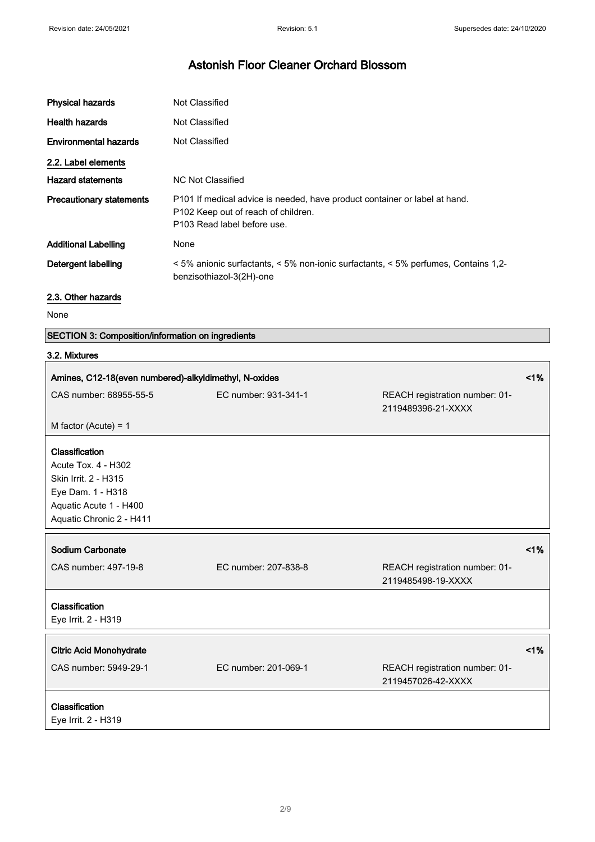| <b>Physical hazards</b>         | Not Classified                                                                                                                                   |
|---------------------------------|--------------------------------------------------------------------------------------------------------------------------------------------------|
| <b>Health hazards</b>           | Not Classified                                                                                                                                   |
| <b>Environmental hazards</b>    | Not Classified                                                                                                                                   |
| 2.2. Label elements             |                                                                                                                                                  |
| <b>Hazard statements</b>        | NC Not Classified                                                                                                                                |
| <b>Precautionary statements</b> | P101 If medical advice is needed, have product container or label at hand.<br>P102 Keep out of reach of children.<br>P103 Read label before use. |
| <b>Additional Labelling</b>     | None                                                                                                                                             |
| Detergent labelling             | $\leq$ 5% anionic surfactants, $\leq$ 5% non-ionic surfactants, $\leq$ 5% perfumes, Contains 1,2-<br>benzisothiazol-3(2H)-one                    |

### 2.3. Other hazards

None

 $\overline{\phantom{a}}$ 

### SECTION 3: Composition/information on ingredients

### 3.2. Mixtures

| Amines, C12-18(even numbered)-alkyldimethyl, N-oxides                                                                                    |                      | 1%                                                   |    |
|------------------------------------------------------------------------------------------------------------------------------------------|----------------------|------------------------------------------------------|----|
| CAS number: 68955-55-5                                                                                                                   | EC number: 931-341-1 | REACH registration number: 01-<br>2119489396-21-XXXX |    |
| M factor (Acute) = $1$                                                                                                                   |                      |                                                      |    |
| Classification<br>Acute Tox. 4 - H302<br>Skin Irrit. 2 - H315<br>Eye Dam. 1 - H318<br>Aquatic Acute 1 - H400<br>Aquatic Chronic 2 - H411 |                      |                                                      |    |
| Sodium Carbonate                                                                                                                         |                      |                                                      | 1% |
| CAS number: 497-19-8                                                                                                                     | EC number: 207-838-8 | REACH registration number: 01-<br>2119485498-19-XXXX |    |
| Classification<br>Eye Irrit. 2 - H319                                                                                                    |                      |                                                      |    |
| <b>Citric Acid Monohydrate</b>                                                                                                           |                      |                                                      | 1% |
| CAS number: 5949-29-1                                                                                                                    | EC number: 201-069-1 | REACH registration number: 01-<br>2119457026-42-XXXX |    |
| Classification<br>Eye Irrit. 2 - H319                                                                                                    |                      |                                                      |    |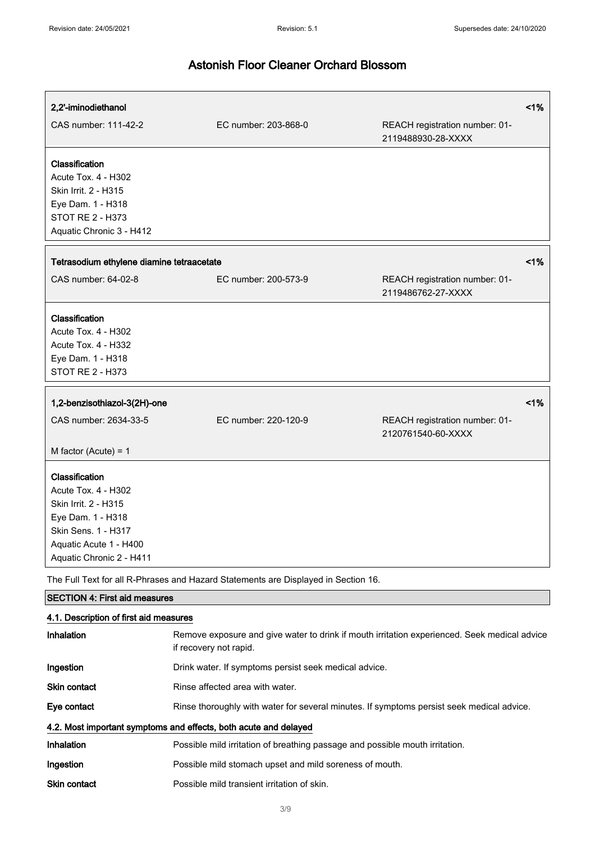| 2,2'-iminodiethanol                                                                                                                                             |                                                                                                                        |                                                      | 1% |
|-----------------------------------------------------------------------------------------------------------------------------------------------------------------|------------------------------------------------------------------------------------------------------------------------|------------------------------------------------------|----|
| CAS number: 111-42-2                                                                                                                                            | EC number: 203-868-0                                                                                                   | REACH registration number: 01-<br>2119488930-28-XXXX |    |
| Classification<br>Acute Tox. 4 - H302<br>Skin Irrit. 2 - H315<br>Eye Dam. 1 - H318<br><b>STOT RE 2 - H373</b><br>Aquatic Chronic 3 - H412                       |                                                                                                                        |                                                      |    |
| Tetrasodium ethylene diamine tetraacetate                                                                                                                       |                                                                                                                        |                                                      | 1% |
| CAS number: 64-02-8                                                                                                                                             | EC number: 200-573-9                                                                                                   | REACH registration number: 01-<br>2119486762-27-XXXX |    |
| Classification<br>Acute Tox. 4 - H302<br>Acute Tox. 4 - H332<br>Eye Dam. 1 - H318<br>STOT RE 2 - H373                                                           |                                                                                                                        |                                                      |    |
| 1,2-benzisothiazol-3(2H)-one                                                                                                                                    |                                                                                                                        |                                                      | 1% |
| CAS number: 2634-33-5                                                                                                                                           | EC number: 220-120-9                                                                                                   | REACH registration number: 01-<br>2120761540-60-XXXX |    |
| M factor (Acute) = $1$                                                                                                                                          |                                                                                                                        |                                                      |    |
| Classification<br>Acute Tox. 4 - H302<br>Skin Irrit. 2 - H315<br>Eye Dam. 1 - H318<br>Skin Sens. 1 - H317<br>Aquatic Acute 1 - H400<br>Aquatic Chronic 2 - H411 |                                                                                                                        |                                                      |    |
| The Full Text for all R-Phrases and Hazard Statements are Displayed in Section 16.                                                                              |                                                                                                                        |                                                      |    |
| <b>SECTION 4: First aid measures</b>                                                                                                                            |                                                                                                                        |                                                      |    |
| 4.1. Description of first aid measures                                                                                                                          |                                                                                                                        |                                                      |    |
| Inhalation                                                                                                                                                      | Remove exposure and give water to drink if mouth irritation experienced. Seek medical advice<br>if recovery not rapid. |                                                      |    |
| Ingestion                                                                                                                                                       | Drink water. If symptoms persist seek medical advice.                                                                  |                                                      |    |
| <b>Skin contact</b>                                                                                                                                             | Rinse affected area with water.                                                                                        |                                                      |    |
| Eye contact                                                                                                                                                     | Rinse thoroughly with water for several minutes. If symptoms persist seek medical advice.                              |                                                      |    |
|                                                                                                                                                                 | 4.2. Most important symptoms and effects, both acute and delayed                                                       |                                                      |    |
| Inhalation                                                                                                                                                      | Possible mild irritation of breathing passage and possible mouth irritation.                                           |                                                      |    |
| Ingestion                                                                                                                                                       | Possible mild stomach upset and mild soreness of mouth.                                                                |                                                      |    |
| <b>Skin contact</b>                                                                                                                                             | Possible mild transient irritation of skin.                                                                            |                                                      |    |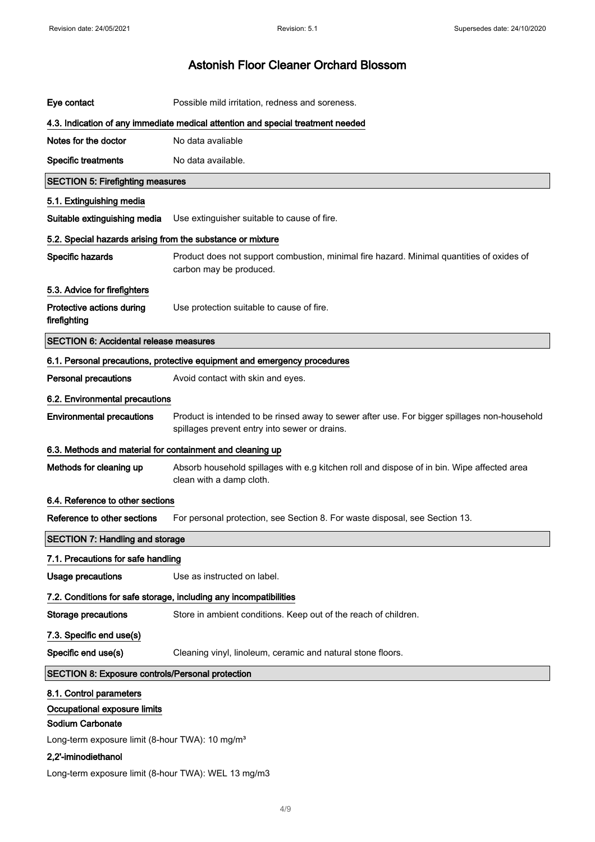| Eye contact                                                                                                                                                              | Possible mild irritation, redness and soreness.                                                                                               |  |
|--------------------------------------------------------------------------------------------------------------------------------------------------------------------------|-----------------------------------------------------------------------------------------------------------------------------------------------|--|
|                                                                                                                                                                          | 4.3. Indication of any immediate medical attention and special treatment needed                                                               |  |
| Notes for the doctor                                                                                                                                                     | No data avaliable                                                                                                                             |  |
| <b>Specific treatments</b>                                                                                                                                               | No data available.                                                                                                                            |  |
| <b>SECTION 5: Firefighting measures</b>                                                                                                                                  |                                                                                                                                               |  |
| 5.1. Extinguishing media                                                                                                                                                 |                                                                                                                                               |  |
| Suitable extinguishing media                                                                                                                                             | Use extinguisher suitable to cause of fire.                                                                                                   |  |
| 5.2. Special hazards arising from the substance or mixture                                                                                                               |                                                                                                                                               |  |
| Specific hazards                                                                                                                                                         | Product does not support combustion, minimal fire hazard. Minimal quantities of oxides of<br>carbon may be produced.                          |  |
| 5.3. Advice for firefighters                                                                                                                                             |                                                                                                                                               |  |
| Protective actions during<br>firefighting                                                                                                                                | Use protection suitable to cause of fire.                                                                                                     |  |
| <b>SECTION 6: Accidental release measures</b>                                                                                                                            |                                                                                                                                               |  |
|                                                                                                                                                                          | 6.1. Personal precautions, protective equipment and emergency procedures                                                                      |  |
| <b>Personal precautions</b>                                                                                                                                              | Avoid contact with skin and eyes.                                                                                                             |  |
| 6.2. Environmental precautions                                                                                                                                           |                                                                                                                                               |  |
| <b>Environmental precautions</b>                                                                                                                                         | Product is intended to be rinsed away to sewer after use. For bigger spillages non-household<br>spillages prevent entry into sewer or drains. |  |
| 6.3. Methods and material for containment and cleaning up                                                                                                                |                                                                                                                                               |  |
|                                                                                                                                                                          |                                                                                                                                               |  |
| Methods for cleaning up                                                                                                                                                  | Absorb household spillages with e.g kitchen roll and dispose of in bin. Wipe affected area<br>clean with a damp cloth.                        |  |
| 6.4. Reference to other sections                                                                                                                                         |                                                                                                                                               |  |
| Reference to other sections                                                                                                                                              | For personal protection, see Section 8. For waste disposal, see Section 13.                                                                   |  |
| <b>SECTION 7: Handling and storage</b>                                                                                                                                   |                                                                                                                                               |  |
| 7.1. Precautions for safe handling                                                                                                                                       |                                                                                                                                               |  |
| <b>Usage precautions</b>                                                                                                                                                 | Use as instructed on label.                                                                                                                   |  |
|                                                                                                                                                                          | 7.2. Conditions for safe storage, including any incompatibilities                                                                             |  |
| <b>Storage precautions</b>                                                                                                                                               | Store in ambient conditions. Keep out of the reach of children.                                                                               |  |
| 7.3. Specific end use(s)                                                                                                                                                 |                                                                                                                                               |  |
| Specific end use(s)                                                                                                                                                      | Cleaning vinyl, linoleum, ceramic and natural stone floors.                                                                                   |  |
| <b>SECTION 8: Exposure controls/Personal protection</b>                                                                                                                  |                                                                                                                                               |  |
| 8.1. Control parameters<br>Occupational exposure limits<br><b>Sodium Carbonate</b><br>Long-term exposure limit (8-hour TWA): 10 mg/m <sup>3</sup><br>2,2'-iminodiethanol |                                                                                                                                               |  |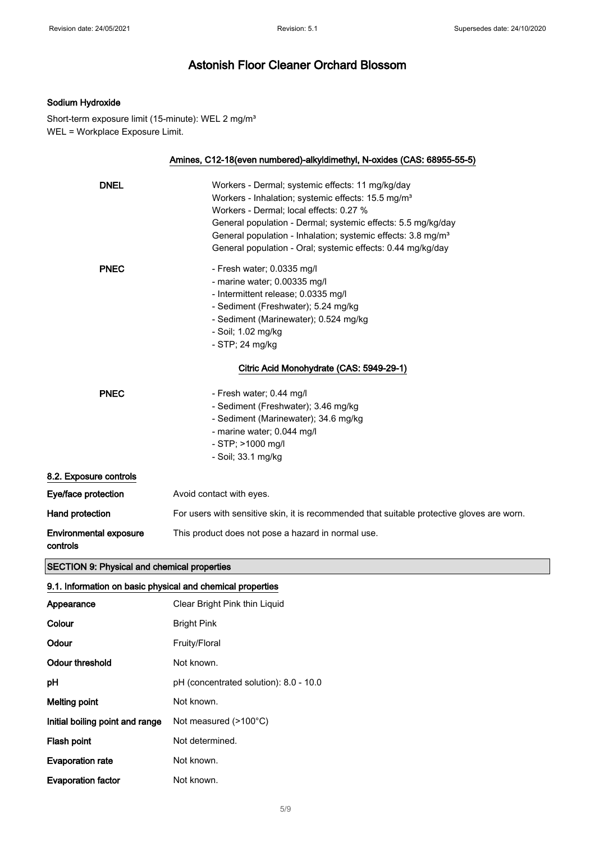### Sodium Hydroxide

Short-term exposure limit (15-minute): WEL 2 mg/m<sup>3</sup> WEL = Workplace Exposure Limit.

|                                           | Amines, C12-18(even numbered)-alkyldimethyl, N-oxides (CAS: 68955-55-5)                    |
|-------------------------------------------|--------------------------------------------------------------------------------------------|
| <b>DNEL</b>                               | Workers - Dermal; systemic effects: 11 mg/kg/day                                           |
|                                           | Workers - Inhalation; systemic effects: 15.5 mg/m <sup>3</sup>                             |
|                                           | Workers - Dermal; local effects: 0.27 %                                                    |
|                                           |                                                                                            |
|                                           | General population - Dermal; systemic effects: 5.5 mg/kg/day                               |
|                                           | General population - Inhalation; systemic effects: 3.8 mg/m <sup>3</sup>                   |
|                                           | General population - Oral; systemic effects: 0.44 mg/kg/day                                |
| <b>PNEC</b>                               | - Fresh water; 0.0335 mg/l                                                                 |
|                                           | - marine water; 0.00335 mg/l                                                               |
|                                           | - Intermittent release; 0.0335 mg/l                                                        |
|                                           | - Sediment (Freshwater); 5.24 mg/kg                                                        |
|                                           | - Sediment (Marinewater); 0.524 mg/kg                                                      |
|                                           | - Soil; 1.02 mg/kg                                                                         |
|                                           | - STP; 24 mg/kg                                                                            |
|                                           | Citric Acid Monohydrate (CAS: 5949-29-1)                                                   |
| <b>PNEC</b>                               | - Fresh water; 0.44 mg/l                                                                   |
|                                           | - Sediment (Freshwater); 3.46 mg/kg                                                        |
|                                           | - Sediment (Marinewater); 34.6 mg/kg                                                       |
|                                           | - marine water; 0.044 mg/l                                                                 |
|                                           | - STP; >1000 mg/l                                                                          |
|                                           | - Soil; 33.1 mg/kg                                                                         |
| 8.2. Exposure controls                    |                                                                                            |
| Eye/face protection                       | Avoid contact with eyes.                                                                   |
| Hand protection                           | For users with sensitive skin, it is recommended that suitable protective gloves are worn. |
| <b>Environmental exposure</b><br>controls | This product does not pose a hazard in normal use.                                         |

# SECTION 9: Physical and chemical properties

| 9.1. Information on basic physical and chemical properties |                                        |  |
|------------------------------------------------------------|----------------------------------------|--|
| Appearance                                                 | Clear Bright Pink thin Liguid          |  |
| Colour                                                     | <b>Bright Pink</b>                     |  |
| Odour                                                      | Fruity/Floral                          |  |
| Odour threshold                                            | Not known.                             |  |
| рH                                                         | pH (concentrated solution): 8.0 - 10.0 |  |
| Melting point                                              | Not known.                             |  |
| Initial boiling point and range                            | Not measured $(>100^{\circ}C)$         |  |
| Flash point                                                | Not determined.                        |  |
| <b>Evaporation rate</b>                                    | Not known.                             |  |
| <b>Evaporation factor</b>                                  | Not known.                             |  |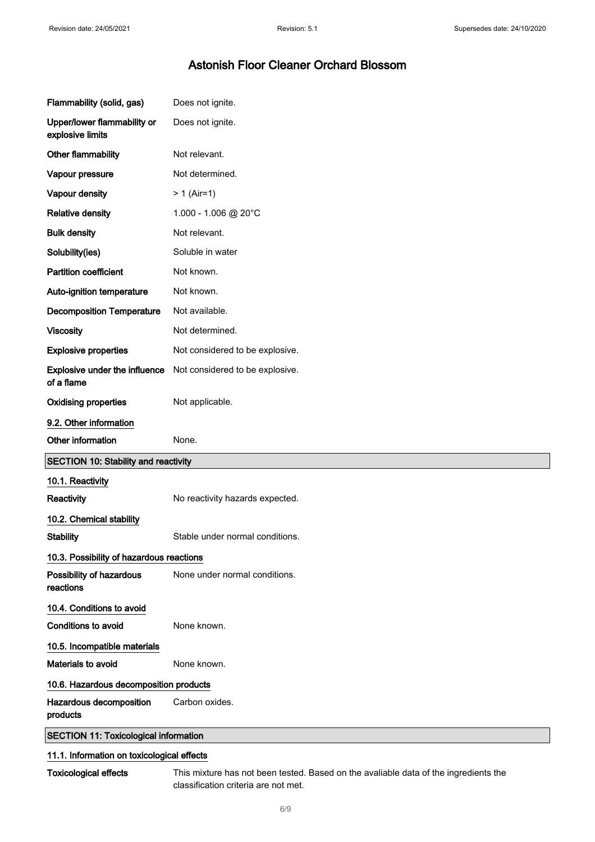| Flammability (solid, gas)                       | Does not ignite.                |
|-------------------------------------------------|---------------------------------|
| Upper/lower flammability or<br>explosive limits | Does not ignite.                |
| Other flammability                              | Not relevant.                   |
| Vapour pressure                                 | Not determined.                 |
| Vapour density                                  | $> 1$ (Air=1)                   |
| <b>Relative density</b>                         | 1.000 - 1.006 @ 20°C            |
| <b>Bulk density</b>                             | Not relevant.                   |
| Solubility(ies)                                 | Soluble in water                |
| <b>Partition coefficient</b>                    | Not known.                      |
| Auto-ignition temperature                       | Not known.                      |
| <b>Decomposition Temperature</b>                | Not available.                  |
| <b>Viscosity</b>                                | Not determined.                 |
| <b>Explosive properties</b>                     | Not considered to be explosive. |
| Explosive under the influence<br>of a flame     | Not considered to be explosive. |
| <b>Oxidising properties</b>                     | Not applicable.                 |
|                                                 |                                 |
| 9.2. Other information                          |                                 |
| Other information                               | None.                           |
| <b>SECTION 10: Stability and reactivity</b>     |                                 |
| 10.1. Reactivity                                |                                 |
| Reactivity                                      | No reactivity hazards expected. |
| 10.2. Chemical stability                        |                                 |
| <b>Stability</b>                                | Stable under normal conditions. |
| 10.3. Possibility of hazardous reactions        |                                 |
| Possibility of hazardous<br>reactions           | None under normal conditions.   |
| 10.4. Conditions to avoid                       |                                 |
| <b>Conditions to avoid</b>                      | None known.                     |
| 10.5. Incompatible materials                    |                                 |
| Materials to avoid                              | None known.                     |
| 10.6. Hazardous decomposition products          |                                 |
| Hazardous decomposition<br>products             | Carbon oxides.                  |

### 11.1. Information on toxicological effects

Toxicological effects This mixture has not been tested. Based on the avaliable data of the ingredients the classification criteria are not met.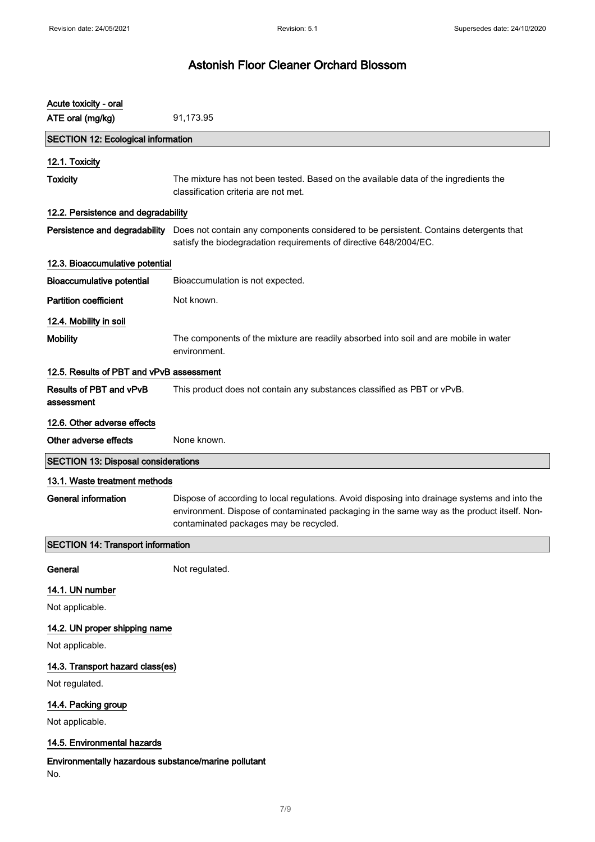| Acute toxicity - oral                                       |                                                                                                                                                                                                                                       |  |
|-------------------------------------------------------------|---------------------------------------------------------------------------------------------------------------------------------------------------------------------------------------------------------------------------------------|--|
| ATE oral (mg/kg)                                            | 91,173.95                                                                                                                                                                                                                             |  |
| <b>SECTION 12: Ecological information</b>                   |                                                                                                                                                                                                                                       |  |
| 12.1. Toxicity                                              |                                                                                                                                                                                                                                       |  |
| <b>Toxicity</b>                                             | The mixture has not been tested. Based on the available data of the ingredients the<br>classification criteria are not met.                                                                                                           |  |
| 12.2. Persistence and degradability                         |                                                                                                                                                                                                                                       |  |
| Persistence and degradability                               | Does not contain any components considered to be persistent. Contains detergents that<br>satisfy the biodegradation requirements of directive 648/2004/EC.                                                                            |  |
| 12.3. Bioaccumulative potential                             |                                                                                                                                                                                                                                       |  |
| <b>Bioaccumulative potential</b>                            | Bioaccumulation is not expected.                                                                                                                                                                                                      |  |
| <b>Partition coefficient</b>                                | Not known.                                                                                                                                                                                                                            |  |
| 12.4. Mobility in soil                                      |                                                                                                                                                                                                                                       |  |
| <b>Mobility</b>                                             | The components of the mixture are readily absorbed into soil and are mobile in water<br>environment.                                                                                                                                  |  |
| 12.5. Results of PBT and vPvB assessment                    |                                                                                                                                                                                                                                       |  |
| Results of PBT and vPvB<br>assessment                       | This product does not contain any substances classified as PBT or vPvB.                                                                                                                                                               |  |
| 12.6. Other adverse effects                                 |                                                                                                                                                                                                                                       |  |
| Other adverse effects                                       | None known.                                                                                                                                                                                                                           |  |
| <b>SECTION 13: Disposal considerations</b>                  |                                                                                                                                                                                                                                       |  |
| 13.1. Waste treatment methods                               |                                                                                                                                                                                                                                       |  |
| <b>General information</b>                                  | Dispose of according to local regulations. Avoid disposing into drainage systems and into the<br>environment. Dispose of contaminated packaging in the same way as the product itself. Non-<br>contaminated packages may be recycled. |  |
| <b>SECTION 14: Transport information</b>                    |                                                                                                                                                                                                                                       |  |
| General                                                     | Not regulated.                                                                                                                                                                                                                        |  |
| 14.1. UN number                                             |                                                                                                                                                                                                                                       |  |
| Not applicable.                                             |                                                                                                                                                                                                                                       |  |
| 14.2. UN proper shipping name                               |                                                                                                                                                                                                                                       |  |
| Not applicable.                                             |                                                                                                                                                                                                                                       |  |
| 14.3. Transport hazard class(es)                            |                                                                                                                                                                                                                                       |  |
| Not regulated.                                              |                                                                                                                                                                                                                                       |  |
| 14.4. Packing group                                         |                                                                                                                                                                                                                                       |  |
| Not applicable.                                             |                                                                                                                                                                                                                                       |  |
| 14.5. Environmental hazards                                 |                                                                                                                                                                                                                                       |  |
| Environmentally hazardous substance/marine pollutant<br>No. |                                                                                                                                                                                                                                       |  |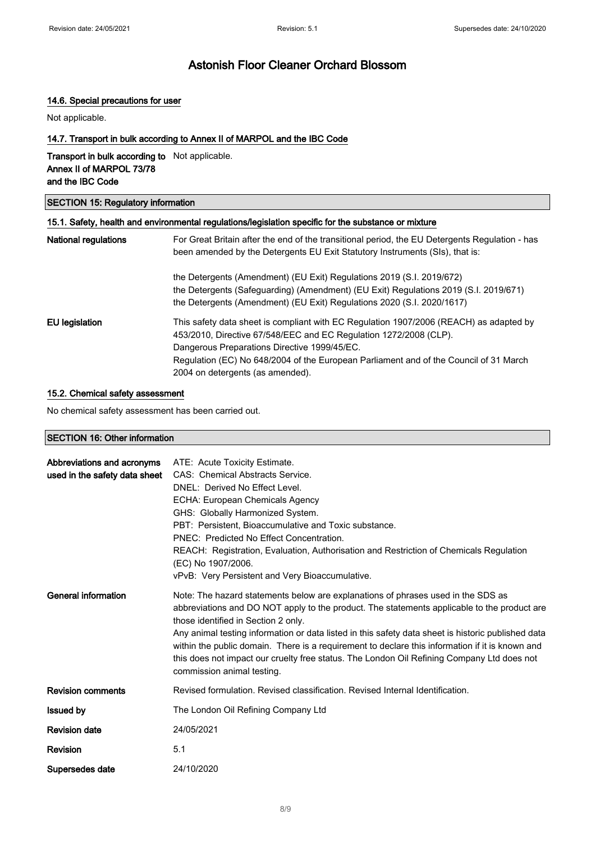### 14.6. Special precautions for user

Not applicable.

### 14.7. Transport in bulk according to Annex II of MARPOL and the IBC Code

#### Transport in bulk according to Not applicable. Annex II of MARPOL 73/78 and the IBC Code

### SECTION 15: Regulatory information

|                             | 15.1. Safety, health and environmental regulations/legislation specific for the substance or mixture                                                                                                                                                                                                                                     |
|-----------------------------|------------------------------------------------------------------------------------------------------------------------------------------------------------------------------------------------------------------------------------------------------------------------------------------------------------------------------------------|
| <b>National regulations</b> | For Great Britain after the end of the transitional period, the EU Detergents Regulation - has<br>been amended by the Detergents EU Exit Statutory Instruments (SIs), that is:                                                                                                                                                           |
|                             | the Detergents (Amendment) (EU Exit) Regulations 2019 (S.I. 2019/672)<br>the Detergents (Safeguarding) (Amendment) (EU Exit) Regulations 2019 (S.I. 2019/671)<br>the Detergents (Amendment) (EU Exit) Regulations 2020 (S.I. 2020/1617)                                                                                                  |
| <b>EU</b> legislation       | This safety data sheet is compliant with EC Regulation 1907/2006 (REACH) as adapted by<br>453/2010, Directive 67/548/EEC and EC Regulation 1272/2008 (CLP).<br>Dangerous Preparations Directive 1999/45/EC.<br>Regulation (EC) No 648/2004 of the European Parliament and of the Council of 31 March<br>2004 on detergents (as amended). |

#### 15.2. Chemical safety assessment

No chemical safety assessment has been carried out.

### SECTION 16: Other information

| Abbreviations and acronyms<br>used in the safety data sheet | ATE: Acute Toxicity Estimate.<br>CAS: Chemical Abstracts Service.<br>DNEL: Derived No Effect Level.<br>ECHA: European Chemicals Agency<br>GHS: Globally Harmonized System.<br>PBT: Persistent, Bioaccumulative and Toxic substance.<br>PNEC: Predicted No Effect Concentration.<br>REACH: Registration, Evaluation, Authorisation and Restriction of Chemicals Regulation<br>(EC) No 1907/2006.<br>vPvB: Very Persistent and Very Bioaccumulative.                                                                                                          |
|-------------------------------------------------------------|-------------------------------------------------------------------------------------------------------------------------------------------------------------------------------------------------------------------------------------------------------------------------------------------------------------------------------------------------------------------------------------------------------------------------------------------------------------------------------------------------------------------------------------------------------------|
| General information                                         | Note: The hazard statements below are explanations of phrases used in the SDS as<br>abbreviations and DO NOT apply to the product. The statements applicable to the product are<br>those identified in Section 2 only.<br>Any animal testing information or data listed in this safety data sheet is historic published data<br>within the public domain. There is a requirement to declare this information if it is known and<br>this does not impact our cruelty free status. The London Oil Refining Company Ltd does not<br>commission animal testing. |
| <b>Revision comments</b>                                    | Revised formulation. Revised classification. Revised Internal Identification.                                                                                                                                                                                                                                                                                                                                                                                                                                                                               |
| <b>Issued by</b>                                            | The London Oil Refining Company Ltd                                                                                                                                                                                                                                                                                                                                                                                                                                                                                                                         |
| <b>Revision date</b>                                        | 24/05/2021                                                                                                                                                                                                                                                                                                                                                                                                                                                                                                                                                  |
| Revision                                                    | 5.1                                                                                                                                                                                                                                                                                                                                                                                                                                                                                                                                                         |
| Supersedes date                                             | 24/10/2020                                                                                                                                                                                                                                                                                                                                                                                                                                                                                                                                                  |